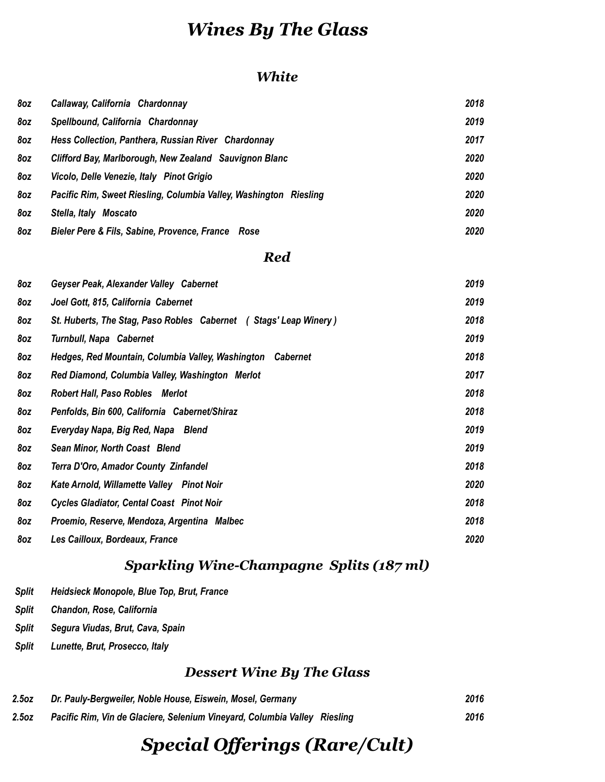### *Wines By The Glass*

#### *White*

| 8oz | Callaway, California Chardonnay                                   | 2018 |
|-----|-------------------------------------------------------------------|------|
| 8oz | Spellbound, California Chardonnay                                 | 2019 |
| 8oz | Hess Collection, Panthera, Russian River Chardonnay               | 2017 |
| 8oz | Clifford Bay, Marlborough, New Zealand Sauvignon Blanc            | 2020 |
| 8oz | Vicolo, Delle Venezie, Italy Pinot Grigio                         | 2020 |
| 8oz | Pacific Rim, Sweet Riesling, Columbia Valley, Washington Riesling | 2020 |
| 8oz | Stella, Italy<br>Moscato                                          | 2020 |
| 8oz | Bieler Pere & Fils, Sabine, Provence, France Rose                 | 2020 |

#### *Red*

| 8oz | Geyser Peak, Alexander Valley Cabernet                               | 2019 |
|-----|----------------------------------------------------------------------|------|
| 8oz | Joel Gott, 815, California Cabernet                                  | 2019 |
| 8oz | St. Huberts, The Stag, Paso Robles Cabernet (Stags' Leap Winery)     | 2018 |
| 8oz | Turnbull, Napa Cabernet                                              | 2019 |
| 8oz | Hedges, Red Mountain, Columbia Valley, Washington<br><b>Cabernet</b> | 2018 |
| 8oz | Red Diamond, Columbia Valley, Washington Merlot                      | 2017 |
| 8oz | <b>Robert Hall, Paso Robles Merlot</b>                               | 2018 |
| 8oz | Penfolds, Bin 600, California Cabernet/Shiraz                        | 2018 |
| 8oz | Everyday Napa, Big Red, Napa Blend                                   | 2019 |
| 8oz | Sean Minor, North Coast Blend                                        | 2019 |
| 8oz | Terra D'Oro, Amador County Zinfandel                                 | 2018 |
| 8oz | Kate Arnold, Willamette Valley Pinot Noir                            | 2020 |
| 8oz | <b>Cycles Gladiator, Cental Coast Pinot Noir</b>                     | 2018 |
| 8oz | Proemio, Reserve, Mendoza, Argentina Malbec                          | 2018 |
| 8oz | Les Cailloux, Bordeaux, France                                       | 2020 |

#### *Sparkling Wine-Champagne Splits (187 ml)*

- *Split Heidsieck Monopole, Blue Top, Brut, France*
- *Split Chandon, Rose, California*
- *Split Segura Viudas, Brut, Cava, Spain*
- *Split Lunette, Brut, Prosecco, Italy*

#### *Dessert Wine By The Glass*

| 2.5oz | Dr. Pauly-Bergweiler, Noble House, Eiswein, Mosel, Germany                | 2016 |
|-------|---------------------------------------------------------------------------|------|
| 2.5oz | Pacific Rim, Vin de Glaciere, Selenium Vineyard, Columbia Valley Riesling | 2016 |

# *Special Offerings (Rare/Cult)*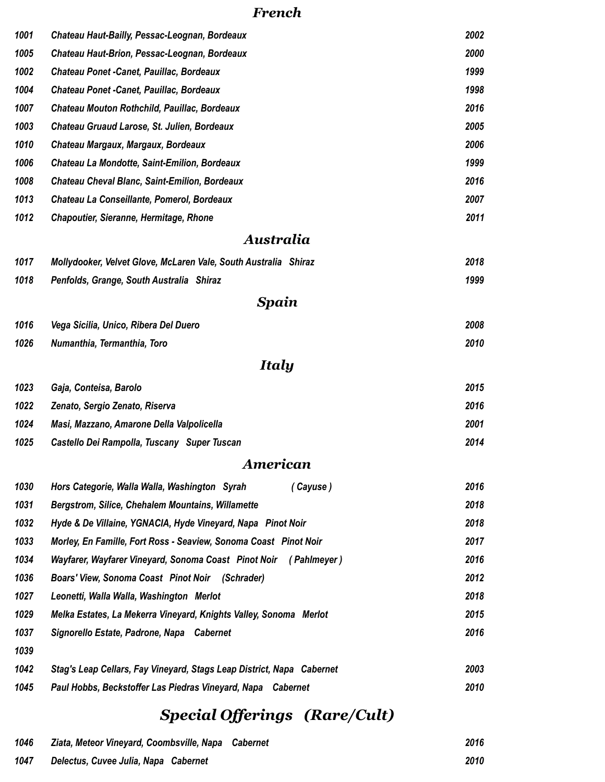#### *French*

| 1001 | Chateau Haut-Bailly, Pessac-Leognan, Bordeaux                         | 2002 |
|------|-----------------------------------------------------------------------|------|
| 1005 | Chateau Haut-Brion, Pessac-Leognan, Bordeaux                          | 2000 |
| 1002 | Chateau Ponet - Canet, Pauillac, Bordeaux                             | 1999 |
| 1004 | Chateau Ponet - Canet, Pauillac, Bordeaux                             | 1998 |
| 1007 | Chateau Mouton Rothchild, Pauillac, Bordeaux                          | 2016 |
| 1003 | Chateau Gruaud Larose, St. Julien, Bordeaux                           | 2005 |
| 1010 | Chateau Margaux, Margaux, Bordeaux                                    | 2006 |
| 1006 | Chateau La Mondotte, Saint-Emilion, Bordeaux                          | 1999 |
| 1008 | <b>Chateau Cheval Blanc, Saint-Emilion, Bordeaux</b>                  | 2016 |
| 1013 | Chateau La Conseillante, Pomerol, Bordeaux                            | 2007 |
| 1012 | <b>Chapoutier, Sieranne, Hermitage, Rhone</b>                         | 2011 |
|      | Australia                                                             |      |
| 1017 | Mollydooker, Velvet Glove, McLaren Vale, South Australia Shiraz       | 2018 |
| 1018 | Penfolds, Grange, South Australia Shiraz                              | 1999 |
|      | Spain                                                                 |      |
| 1016 | Vega Sicilia, Unico, Ribera Del Duero                                 | 2008 |
| 1026 | Numanthia, Termanthia, Toro                                           | 2010 |
|      | <b>Italy</b>                                                          |      |
| 1023 | Gaja, Conteisa, Barolo                                                | 2015 |
| 1022 | Zenato, Sergio Zenato, Riserva                                        | 2016 |
| 1024 | Masi, Mazzano, Amarone Della Valpolicella                             | 2001 |
| 1025 | Castello Dei Rampolla, Tuscany Super Tuscan                           | 2014 |
|      | American                                                              |      |
| 1030 | Hors Categorie, Walla Walla, Washington Syrah<br>(Cayuse)             | 2016 |
| 1031 | <b>Bergstrom, Silice, Chehalem Mountains, Willamette</b>              | 2018 |
| 1032 | Hyde & De Villaine, YGNACIA, Hyde Vineyard, Napa Pinot Noir           | 2018 |
| 1033 | Morley, En Famille, Fort Ross - Seaview, Sonoma Coast Pinot Noir      | 2017 |
| 1034 | Wayfarer, Wayfarer Vineyard, Sonoma Coast Pinot Noir (Pahlmeyer)      | 2016 |
| 1036 | Boars' View, Sonoma Coast Pinot Noir (Schrader)                       | 2012 |
| 1027 | Leonetti, Walla Walla, Washington Merlot                              | 2018 |
| 1029 | Melka Estates, La Mekerra Vineyard, Knights Valley, Sonoma Merlot     | 2015 |
| 1037 | Signorello Estate, Padrone, Napa Cabernet                             | 2016 |
| 1039 |                                                                       |      |
| 1042 | Stag's Leap Cellars, Fay Vineyard, Stags Leap District, Napa Cabernet | 2003 |
| 1045 | Paul Hobbs, Beckstoffer Las Piedras Vineyard, Napa Cabernet           | 2010 |

# *Special Offerings (Rare/Cult)*

| 1046 | Ziata, Meteor Vineyard, Coombsville, Napa Cabernet | 2016 |
|------|----------------------------------------------------|------|
| 1047 | Delectus, Cuvee Julia, Napa Cabernet               | 2010 |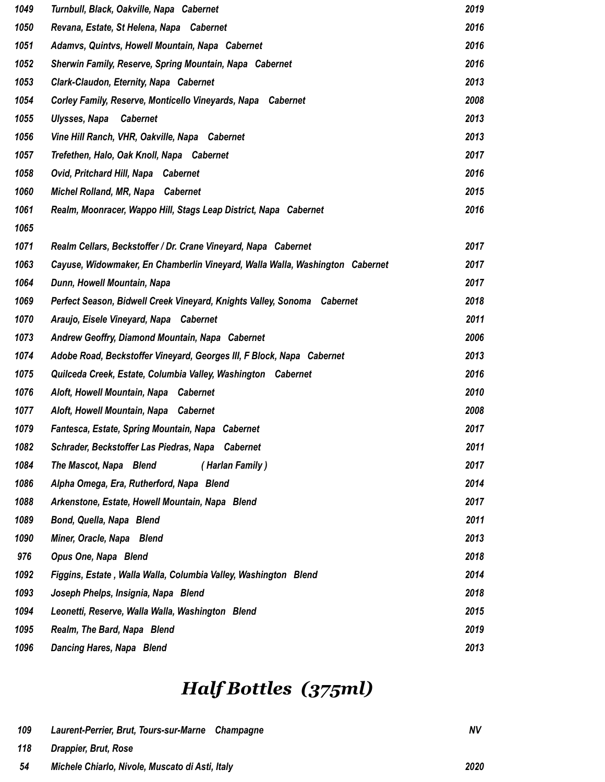| 1049 | Turnbull, Black, Oakville, Napa Cabernet                                     | 2019 |
|------|------------------------------------------------------------------------------|------|
| 1050 | Revana, Estate, St Helena, Napa Cabernet                                     | 2016 |
| 1051 | Adamvs, Quintvs, Howell Mountain, Napa Cabernet                              | 2016 |
| 1052 | Sherwin Family, Reserve, Spring Mountain, Napa Cabernet                      | 2016 |
| 1053 | Clark-Claudon, Eternity, Napa Cabernet                                       | 2013 |
| 1054 | Corley Family, Reserve, Monticello Vineyards, Napa Cabernet                  | 2008 |
| 1055 | Ulysses, Napa<br><b>Cabernet</b>                                             | 2013 |
| 1056 | Vine Hill Ranch, VHR, Oakville, Napa Cabernet                                | 2013 |
| 1057 | Trefethen, Halo, Oak Knoll, Napa Cabernet                                    | 2017 |
| 1058 | Ovid, Pritchard Hill, Napa Cabernet                                          | 2016 |
| 1060 | Michel Rolland, MR, Napa Cabernet                                            | 2015 |
| 1061 | Realm, Moonracer, Wappo Hill, Stags Leap District, Napa Cabernet             | 2016 |
| 1065 |                                                                              |      |
| 1071 | Realm Cellars, Beckstoffer / Dr. Crane Vineyard, Napa Cabernet               | 2017 |
| 1063 | Cayuse, Widowmaker, En Chamberlin Vineyard, Walla Walla, Washington Cabernet | 2017 |
| 1064 | Dunn, Howell Mountain, Napa                                                  | 2017 |
| 1069 | Perfect Season, Bidwell Creek Vineyard, Knights Valley, Sonoma Cabernet      | 2018 |
| 1070 | Araujo, Eisele Vineyard, Napa Cabernet                                       | 2011 |
| 1073 | Andrew Geoffry, Diamond Mountain, Napa Cabernet                              | 2006 |
| 1074 | Adobe Road, Beckstoffer Vineyard, Georges III, F Block, Napa Cabernet        | 2013 |
| 1075 | Quilceda Creek, Estate, Columbia Valley, Washington Cabernet                 | 2016 |
| 1076 | Aloft, Howell Mountain, Napa Cabernet                                        | 2010 |
| 1077 | Aloft, Howell Mountain, Napa Cabernet                                        | 2008 |
| 1079 | Fantesca, Estate, Spring Mountain, Napa Cabernet                             | 2017 |
| 1082 | Schrader, Beckstoffer Las Piedras, Napa Cabernet                             | 2011 |
| 1084 | The Mascot, Napa Blend<br>(Harlan Family)                                    | 2017 |
| 1086 | Alpha Omega, Era, Rutherford, Napa Blend                                     | 2014 |
| 1088 | Arkenstone, Estate, Howell Mountain, Napa Blend                              | 2017 |
| 1089 | Bond, Quella, Napa Blend                                                     | 2011 |
| 1090 | Miner, Oracle, Napa Blend                                                    | 2013 |
| 976  | Opus One, Napa Blend                                                         | 2018 |
| 1092 | Figgins, Estate, Walla Walla, Columbia Valley, Washington Blend              | 2014 |
| 1093 | Joseph Phelps, Insignia, Napa Blend                                          | 2018 |
| 1094 | Leonetti, Reserve, Walla Walla, Washington Blend                             | 2015 |
| 1095 | Realm, The Bard, Napa Blend                                                  | 2019 |
| 1096 | <b>Dancing Hares, Napa Blend</b>                                             | 2013 |

# *Half Bottles (375ml)*

| 109 | Laurent-Perrier, Brut, Tours-sur-Marne Champagne | <b>NV</b> |
|-----|--------------------------------------------------|-----------|
| 118 | Drappier, Brut, Rose                             |           |
| 54  | Michele Chiarlo, Nivole, Muscato di Asti, Italy  | 2020      |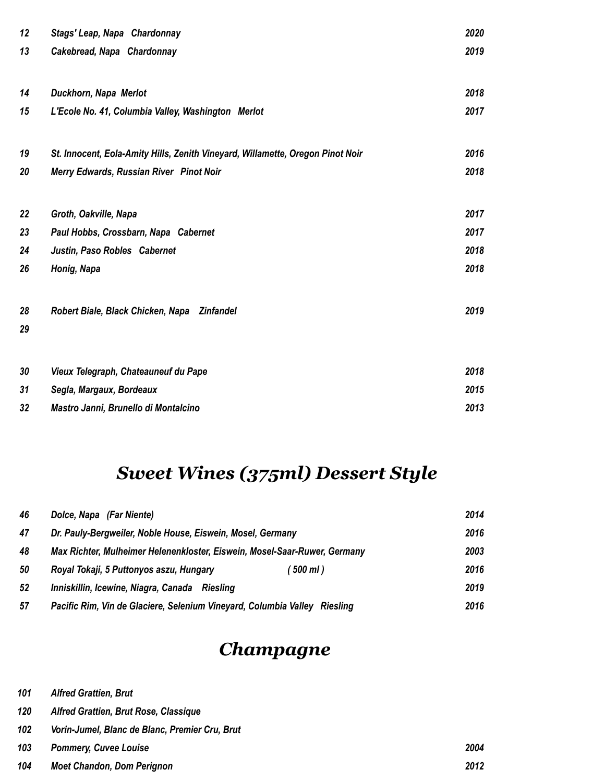| 12 | Stags' Leap, Napa Chardonnay                                                   | 2020 |
|----|--------------------------------------------------------------------------------|------|
| 13 | Cakebread, Napa Chardonnay                                                     | 2019 |
| 14 | Duckhorn, Napa Merlot                                                          | 2018 |
| 15 | L'Ecole No. 41, Columbia Valley, Washington Merlot                             | 2017 |
| 19 | St. Innocent, Eola-Amity Hills, Zenith Vineyard, Willamette, Oregon Pinot Noir | 2016 |
| 20 | Merry Edwards, Russian River Pinot Noir                                        | 2018 |
| 22 | Groth, Oakville, Napa                                                          | 2017 |
| 23 | Paul Hobbs, Crossbarn, Napa Cabernet                                           | 2017 |
| 24 | Justin, Paso Robles Cabernet                                                   | 2018 |
| 26 | Honig, Napa                                                                    | 2018 |
| 28 | Robert Biale, Black Chicken, Napa Zinfandel                                    | 2019 |
| 29 |                                                                                |      |
| 30 | Vieux Telegraph, Chateauneuf du Pape                                           | 2018 |
| 31 | Segla, Margaux, Bordeaux                                                       | 2015 |
| 32 | Mastro Janni, Brunello di Montalcino                                           | 2013 |

# *Sweet Wines (375ml) Dessert Style*

| 46 | Dolce, Napa (Far Niente)                                                  | 2014 |
|----|---------------------------------------------------------------------------|------|
| 47 | Dr. Pauly-Bergweiler, Noble House, Eiswein, Mosel, Germany                | 2016 |
| 48 | Max Richter, Mulheimer Helenenkloster, Eiswein, Mosel-Saar-Ruwer, Germany | 2003 |
| 50 | Royal Tokaji, 5 Puttonyos aszu, Hungary<br>(500 ml)                       | 2016 |
| 52 | Inniskillin, Icewine, Niagra, Canada Riesling                             | 2019 |
| 57 | Pacific Rim, Vin de Glaciere, Selenium Vineyard, Columbia Valley Riesling | 2016 |

## *Champagne*

| 101 |  | <b>Alfred Grattien, Brut</b> |  |
|-----|--|------------------------------|--|
|-----|--|------------------------------|--|

- *Alfred Grattien, Brut Rose, Classique*
- *Vorin-Jumel, Blanc de Blanc, Premier Cru, Brut*

| 103 | <b>Pommery, Cuvee Louise</b>      | 2004 |
|-----|-----------------------------------|------|
| 104 | <b>Moet Chandon, Dom Perignon</b> | 2012 |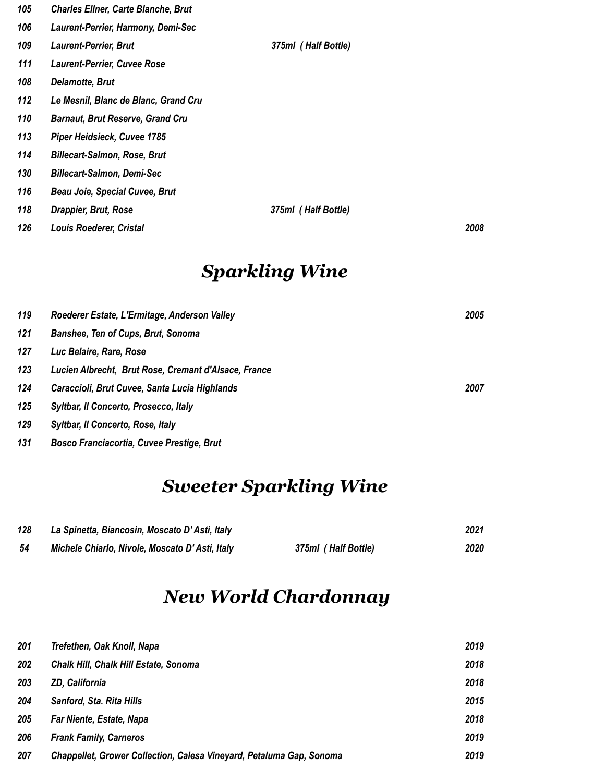| 105 | <b>Charles Ellner, Carte Blanche, Brut</b> |                     |      |
|-----|--------------------------------------------|---------------------|------|
| 106 | Laurent-Perrier, Harmony, Demi-Sec         |                     |      |
| 109 | <b>Laurent-Perrier, Brut</b>               | 375ml (Half Bottle) |      |
| 111 | <b>Laurent-Perrier, Cuvee Rose</b>         |                     |      |
| 108 | <b>Delamotte, Brut</b>                     |                     |      |
| 112 | Le Mesnil, Blanc de Blanc, Grand Cru       |                     |      |
| 110 | <b>Barnaut, Brut Reserve, Grand Cru</b>    |                     |      |
| 113 | Piper Heidsieck, Cuvee 1785                |                     |      |
| 114 | <b>Billecart-Salmon, Rose, Brut</b>        |                     |      |
| 130 | <b>Billecart-Salmon, Demi-Sec</b>          |                     |      |
| 116 | <b>Beau Joie, Special Cuvee, Brut</b>      |                     |      |
| 118 | Drappier, Brut, Rose                       | 375ml (Half Bottle) |      |
| 126 | Louis Roederer, Cristal                    |                     | 2008 |

## *Sparkling Wine*

| 119 | Roederer Estate, L'Ermitage, Anderson Valley         | 2005 |
|-----|------------------------------------------------------|------|
| 121 | Banshee, Ten of Cups, Brut, Sonoma                   |      |
| 127 | Luc Belaire, Rare, Rose                              |      |
| 123 | Lucien Albrecht, Brut Rose, Cremant d'Alsace, France |      |
| 124 | Caraccioli, Brut Cuvee, Santa Lucia Highlands        | 2007 |
| 125 | Syltbar, Il Concerto, Prosecco, Italy                |      |
| 129 | Syltbar, Il Concerto, Rose, Italy                    |      |
| 131 | <b>Bosco Franciacortia, Cuvee Prestige, Brut</b>     |      |

# *Sweeter Sparkling Wine*

| 128 | La Spinetta, Biancosin, Moscato D'Asti, Italy  |                     | 2021 |
|-----|------------------------------------------------|---------------------|------|
| -54 | Michele Chiarlo, Nivole, Moscato D'Asti, Italy | 375ml (Half Bottle) | 2020 |

## *New World Chardonnay*

| 201 | Trefethen, Oak Knoll, Napa                                           | 2019 |
|-----|----------------------------------------------------------------------|------|
| 202 | <b>Chalk Hill, Chalk Hill Estate, Sonoma</b>                         | 2018 |
| 203 | <b>ZD, California</b>                                                | 2018 |
| 204 | Sanford, Sta. Rita Hills                                             | 2015 |
| 205 | Far Niente, Estate, Napa                                             | 2018 |
| 206 | <b>Frank Family, Carneros</b>                                        | 2019 |
| 207 | Chappellet, Grower Collection, Calesa Vineyard, Petaluma Gap, Sonoma | 2019 |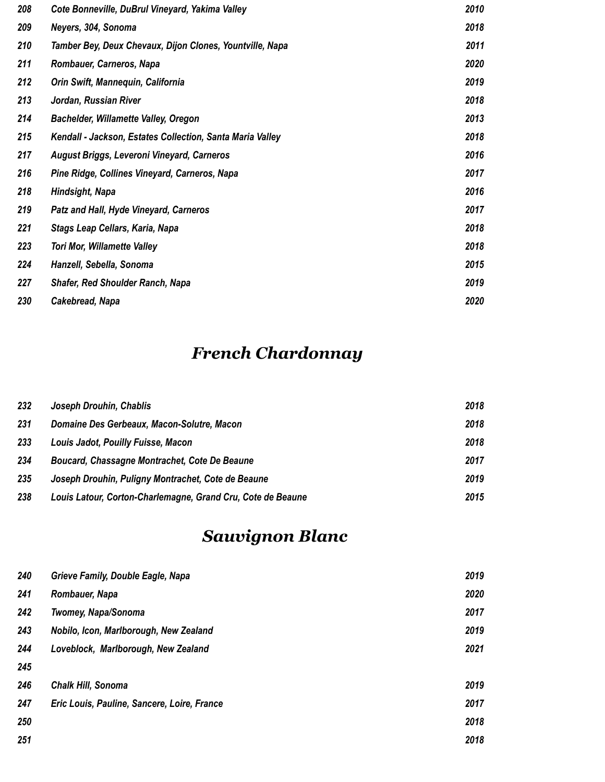| 208 | Cote Bonneville, DuBrul Vineyard, Yakima Valley           | 2010 |
|-----|-----------------------------------------------------------|------|
| 209 | Neyers, 304, Sonoma                                       | 2018 |
| 210 | Tamber Bey, Deux Chevaux, Dijon Clones, Yountville, Napa  | 2011 |
| 211 | Rombauer, Carneros, Napa                                  | 2020 |
| 212 | Orin Swift, Mannequin, California                         | 2019 |
| 213 | Jordan, Russian River                                     | 2018 |
| 214 | Bachelder, Willamette Valley, Oregon                      | 2013 |
| 215 | Kendall - Jackson, Estates Collection, Santa Maria Valley | 2018 |
| 217 | August Briggs, Leveroni Vineyard, Carneros                | 2016 |
| 216 | Pine Ridge, Collines Vineyard, Carneros, Napa             | 2017 |
| 218 | Hindsight, Napa                                           | 2016 |
| 219 | Patz and Hall, Hyde Vineyard, Carneros                    | 2017 |
| 221 | Stags Leap Cellars, Karia, Napa                           | 2018 |
| 223 | <b>Tori Mor, Willamette Valley</b>                        | 2018 |
| 224 | Hanzell, Sebella, Sonoma                                  | 2015 |
| 227 | <b>Shafer, Red Shoulder Ranch, Napa</b>                   | 2019 |
| 230 | Cakebread, Napa                                           | 2020 |

# *French Chardonnay*

| 232 | Joseph Drouhin, Chablis                                     | 2018 |
|-----|-------------------------------------------------------------|------|
| 231 | Domaine Des Gerbeaux, Macon-Solutre, Macon                  | 2018 |
| 233 | Louis Jadot, Pouilly Fuisse, Macon                          | 2018 |
| 234 | Boucard, Chassagne Montrachet, Cote De Beaune               | 2017 |
| 235 | Joseph Drouhin, Puligny Montrachet, Cote de Beaune          | 2019 |
| 238 | Louis Latour, Corton-Charlemagne, Grand Cru, Cote de Beaune | 2015 |

# *Sauvignon Blanc*

| 240 | Grieve Family, Double Eagle, Napa           | 2019 |
|-----|---------------------------------------------|------|
| 241 | Rombauer, Napa                              | 2020 |
| 242 | <b>Twomey, Napa/Sonoma</b>                  | 2017 |
| 243 | Nobilo, Icon, Marlborough, New Zealand      | 2019 |
| 244 | Loveblock, Marlborough, New Zealand         | 2021 |
| 245 |                                             |      |
| 246 | <b>Chalk Hill, Sonoma</b>                   | 2019 |
| 247 | Eric Louis, Pauline, Sancere, Loire, France | 2017 |
| 250 |                                             | 2018 |
| 251 |                                             | 2018 |
|     |                                             |      |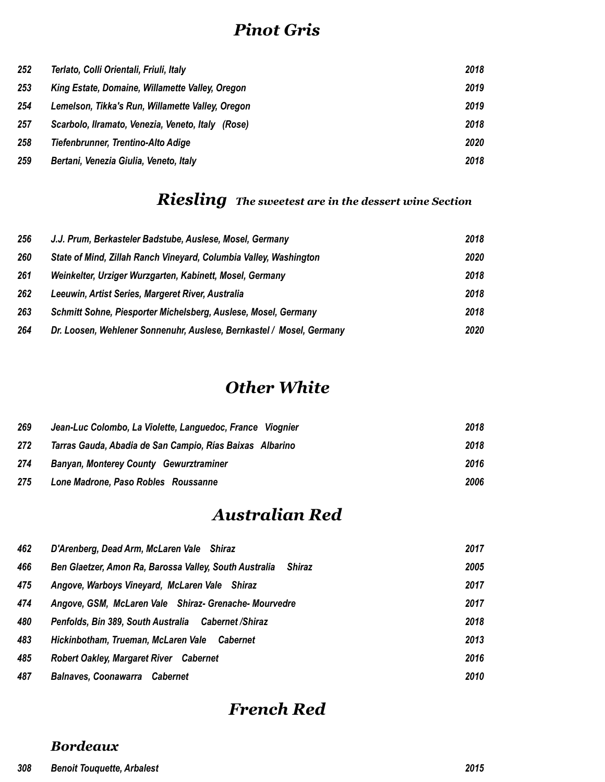### *Pinot Gris*

| 252 | Terlato, Colli Orientali, Friuli, Italy           | 2018 |
|-----|---------------------------------------------------|------|
| 253 | King Estate, Domaine, Willamette Valley, Oregon   | 2019 |
| 254 | Lemelson, Tikka's Run, Willamette Valley, Oregon  | 2019 |
| 257 | Scarbolo, Ilramato, Venezia, Veneto, Italy (Rose) | 2018 |
| 258 | Tiefenbrunner, Trentino-Alto Adige                | 2020 |
| 259 | Bertani, Venezia Giulia, Veneto, Italy            | 2018 |

## *Riesling The sweetest are in the dessert wine Section*

| 256 | J.J. Prum, Berkasteler Badstube, Auslese, Mosel, Germany             | 2018 |
|-----|----------------------------------------------------------------------|------|
| 260 | State of Mind, Zillah Ranch Vineyard, Columbia Valley, Washington    | 2020 |
| 261 | Weinkelter, Urziger Wurzgarten, Kabinett, Mosel, Germany             | 2018 |
| 262 | Leeuwin, Artist Series, Margeret River, Australia                    | 2018 |
| 263 | Schmitt Sohne, Piesporter Michelsberg, Auslese, Mosel, Germany       | 2018 |
| 264 | Dr. Loosen, Wehlener Sonnenuhr, Auslese, Bernkastel / Mosel, Germany | 2020 |

#### *Other White*

| 269 | Jean-Luc Colombo, La Violette, Languedoc, France Viognier | 2018 |
|-----|-----------------------------------------------------------|------|
| 272 | Tarras Gauda, Abadia de San Campio, Rías Baixas Albarino  | 2018 |
| 274 | <b>Banyan, Monterey County Gewurztraminer</b>             | 2016 |
| 275 | Lone Madrone, Paso Robles Roussanne                       | 2006 |

### *Australian Red*

| 462 | D'Arenberg, Dead Arm, McLaren Vale Shiraz                        | 2017 |
|-----|------------------------------------------------------------------|------|
| 466 | Ben Glaetzer, Amon Ra, Barossa Valley, South Australia<br>Shiraz | 2005 |
| 475 | Angove, Warboys Vineyard, McLaren Vale Shiraz                    | 2017 |
| 474 | Angove, GSM, McLaren Vale Shiraz- Grenache-Mourvedre             | 2017 |
| 480 | Penfolds, Bin 389, South Australia Cabernet / Shiraz             | 2018 |
| 483 | Hickinbotham, Trueman, McLaren Vale<br>Cabernet                  | 2013 |
| 485 | <b>Robert Oakley, Margaret River Cabernet</b>                    | 2016 |
| 487 | <b>Balnaves, Coonawarra</b><br>Cabernet                          | 2010 |
|     |                                                                  |      |

### *French Red*

#### *Bordeaux*

#### *Benoit Touquette, Arbalest 2015*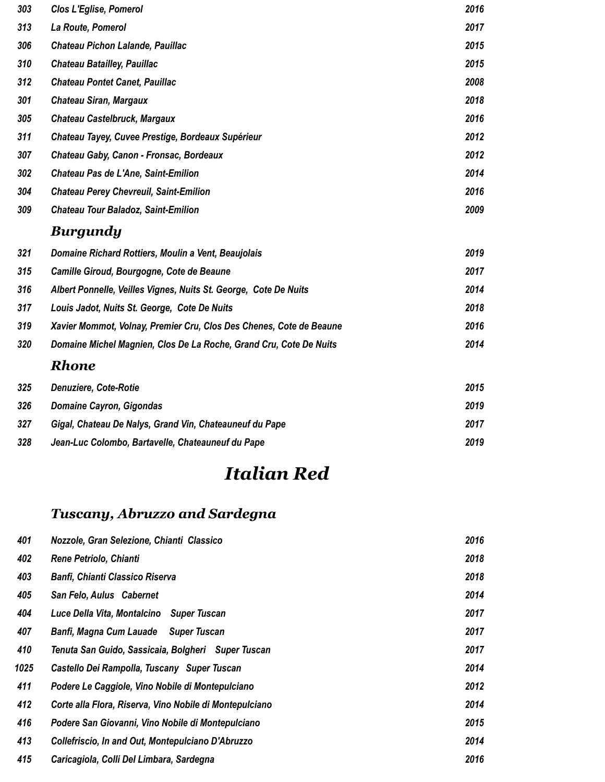| 303 | <b>Clos L'Eglise, Pomerol</b>                                       | 2016 |
|-----|---------------------------------------------------------------------|------|
| 313 | La Route, Pomerol                                                   | 2017 |
| 306 | Chateau Pichon Lalande, Pauillac                                    | 2015 |
| 310 | <b>Chateau Batailley, Pauillac</b>                                  | 2015 |
| 312 | <b>Chateau Pontet Canet, Pauillac</b>                               | 2008 |
| 301 | <b>Chateau Siran, Margaux</b>                                       | 2018 |
| 305 | Chateau Castelbruck, Margaux                                        | 2016 |
| 311 | Chateau Tayey, Cuvee Prestige, Bordeaux Supérieur                   | 2012 |
| 307 | Chateau Gaby, Canon - Fronsac, Bordeaux                             | 2012 |
| 302 | Chateau Pas de L'Ane, Saint-Emilion                                 | 2014 |
| 304 | <b>Chateau Perey Chevreuil, Saint-Emilion</b>                       | 2016 |
| 309 | <b>Chateau Tour Baladoz, Saint-Emilion</b>                          | 2009 |
|     |                                                                     |      |
|     | <b>Burgundy</b>                                                     |      |
| 321 | Domaine Richard Rottiers, Moulin a Vent, Beaujolais                 | 2019 |
| 315 | Camille Giroud, Bourgogne, Cote de Beaune                           | 2017 |
| 316 | Albert Ponnelle, Veilles Vignes, Nuits St. George, Cote De Nuits    | 2014 |
| 317 | Louis Jadot, Nuits St. George, Cote De Nuits                        | 2018 |
| 319 | Xavier Mommot, Volnay, Premier Cru, Clos Des Chenes, Cote de Beaune | 2016 |
| 320 | Domaine Michel Magnien, Clos De La Roche, Grand Cru, Cote De Nuits  | 2014 |
|     | <b>Rhone</b>                                                        |      |
| 325 | <b>Denuziere, Cote-Rotie</b>                                        | 2015 |
| 326 | <b>Domaine Cayron, Gigondas</b>                                     | 2019 |

### *Jean-Luc Colombo, Bartavelle, Chateauneuf du Pape 2019*

# *Italian Red*

### *Tuscany, Abruzzo and Sardegna*

| 401  | Nozzole, Gran Selezione, Chianti Classico               | 2016 |
|------|---------------------------------------------------------|------|
| 402  | Rene Petriolo, Chianti                                  | 2018 |
| 403  | <b>Banfi, Chianti Classico Riserva</b>                  | 2018 |
| 405  | San Felo, Aulus Cabernet                                | 2014 |
| 404  | Luce Della Vita, Montalcino Super Tuscan                | 2017 |
| 407  | Banfi, Magna Cum Lauade Super Tuscan                    | 2017 |
| 410  | Tenuta San Guido, Sassicaia, Bolgheri Super Tuscan      | 2017 |
| 1025 | Castello Dei Rampolla, Tuscany Super Tuscan             | 2014 |
| 411  | Podere Le Caggiole, Vino Nobile di Montepulciano        | 2012 |
| 412  | Corte alla Flora, Riserva, Vino Nobile di Montepulciano | 2014 |
| 416  | Podere San Giovanni, Vino Nobile di Montepulciano       | 2015 |
| 413  | Collefriscio, In and Out, Montepulciano D'Abruzzo       | 2014 |
| 415  | Caricagiola, Colli Del Limbara, Sardegna                | 2016 |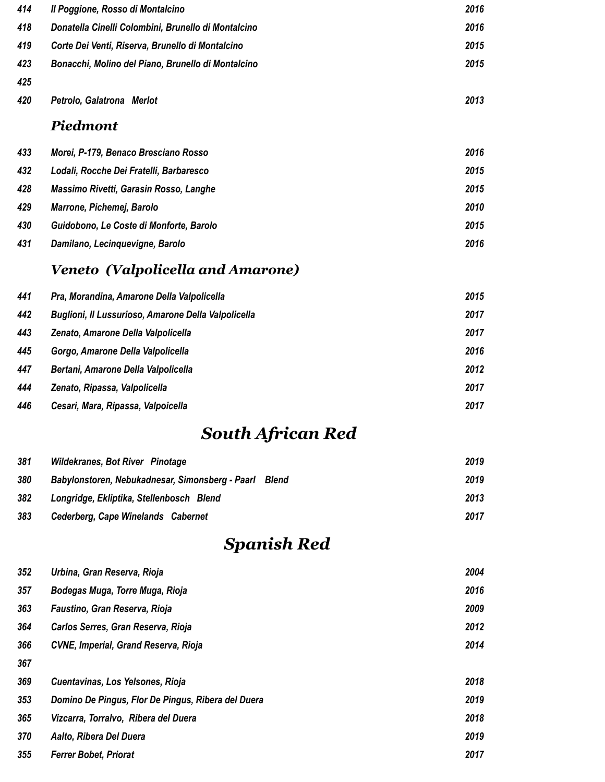| 414 | Il Poggione, Rosso di Montalcino                    | 2016 |
|-----|-----------------------------------------------------|------|
| 418 | Donatella Cinelli Colombini, Brunello di Montalcino | 2016 |
| 419 | Corte Dei Venti, Riserva, Brunello di Montalcino    | 2015 |
| 423 | Bonacchi, Molino del Piano, Brunello di Montalcino  | 2015 |
| 425 |                                                     |      |
| 420 | Petrolo, Galatrona Merlot                           | 2013 |
|     | <b>Piedmont</b>                                     |      |
| 433 | Morei, P-179, Benaco Bresciano Rosso                | 2016 |
| 432 | Lodali, Rocche Dei Fratelli, Barbaresco             | 2015 |
| 428 | Massimo Rivetti, Garasin Rosso, Langhe              | 2015 |
| 429 | Marrone, Pichemej, Barolo                           | 2010 |
| 430 | Guidobono, Le Coste di Monforte, Barolo             | 2015 |
| 431 | Damilano, Lecinquevigne, Barolo                     | 2016 |

### *Veneto (Valpolicella and Amarone)*

| 441 | Pra, Morandina, Amarone Della Valpolicella          | 2015 |
|-----|-----------------------------------------------------|------|
| 442 | Buglioni, Il Lussurioso, Amarone Della Valpolicella | 2017 |
| 443 | Zenato, Amarone Della Valpolicella                  | 2017 |
| 445 | Gorgo, Amarone Della Valpolicella                   | 2016 |
| 447 | Bertani, Amarone Della Valpolicella                 | 2012 |
| 444 | Zenato, Ripassa, Valpolicella                       | 2017 |
| 446 | Cesari, Mara, Ripassa, Valpoicella                  | 2017 |

# *South African Red*

| 381 | <b>Wildekranes, Bot River Pinotage</b>                   | 2019 |
|-----|----------------------------------------------------------|------|
| 380 | Babylonstoren, Nebukadnesar, Simonsberg - Paarl<br>Blend | 2019 |
| 382 | Longridge, Ekliptika, Stellenbosch Blend                 | 2013 |
| 383 | Cederberg, Cape Winelands Cabernet                       | 2017 |

## *Spanish Red*

| 352 | Urbina, Gran Reserva, Rioja                        | 2004 |
|-----|----------------------------------------------------|------|
| 357 | Bodegas Muga, Torre Muga, Rioja                    | 2016 |
| 363 | Faustino, Gran Reserva, Rioja                      | 2009 |
| 364 | Carlos Serres, Gran Reserva, Rioja                 | 2012 |
| 366 | CVNE, Imperial, Grand Reserva, Rioja               | 2014 |
| 367 |                                                    |      |
| 369 | Cuentavinas, Los Yelsones, Rioja                   | 2018 |
| 353 | Domino De Pingus, Flor De Pingus, Ribera del Duera | 2019 |
| 365 | Vizcarra, Torralvo, Ribera del Duera               | 2018 |
| 370 | Aalto, Ribera Del Duera                            | 2019 |
| 355 | <b>Ferrer Bobet, Priorat</b>                       | 2017 |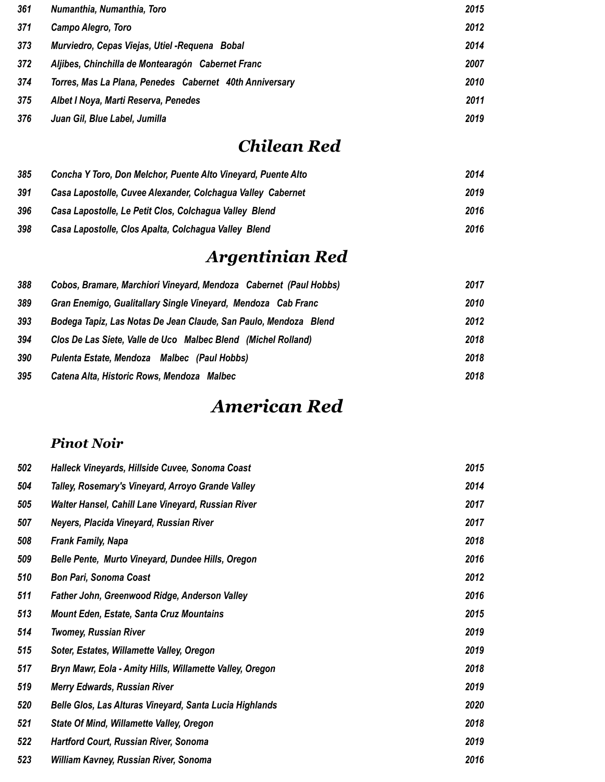| 361 | Numanthia, Numanthia, Toro                              | 2015 |
|-----|---------------------------------------------------------|------|
| 371 | Campo Alegro, Toro                                      | 2012 |
| 373 | Murviedro, Cepas Viejas, Utiel - Requena Bobal          | 2014 |
| 372 | Aljibes, Chinchilla de Montearagón Cabernet Franc       | 2007 |
| 374 | Torres, Mas La Plana, Penedes Cabernet 40th Anniversary | 2010 |
| 375 | Albet I Noya, Marti Reserva, Penedes                    | 2011 |
| 376 | Juan Gil, Blue Label, Jumilla                           | 2019 |

## *Chilean Red*

| 385 | Concha Y Toro, Don Melchor, Puente Alto Vineyard, Puente Alto | 2014 |
|-----|---------------------------------------------------------------|------|
| 391 | Casa Lapostolle, Cuvee Alexander, Colchagua Valley Cabernet   | 2019 |
| 396 | Casa Lapostolle, Le Petit Clos, Colchagua Valley Blend        | 2016 |
| 398 | Casa Lapostolle, Clos Apalta, Colchagua Valley Blend          | 2016 |

# *Argentinian Red*

| 388 | Cobos, Bramare, Marchiori Vineyard, Mendoza Cabernet (Paul Hobbs) | 2017 |
|-----|-------------------------------------------------------------------|------|
| 389 | Gran Enemigo, Gualitallary Single Vineyard, Mendoza Cab Franc     | 2010 |
| 393 | Bodega Tapiz, Las Notas De Jean Claude, San Paulo, Mendoza Blend  | 2012 |
| 394 | Clos De Las Siete, Valle de Uco Malbec Blend (Michel Rolland)     | 2018 |
| 390 | Pulenta Estate, Mendoza Malbec (Paul Hobbs)                       | 2018 |
| 395 | Catena Alta, Historic Rows, Mendoza Malbec                        | 2018 |

### *American Red*

### *Pinot Noir*

| 502 | Halleck Vineyards, Hillside Cuvee, Sonoma Coast          | 2015 |
|-----|----------------------------------------------------------|------|
| 504 | Talley, Rosemary's Vineyard, Arroyo Grande Valley        | 2014 |
| 505 | Walter Hansel, Cahill Lane Vineyard, Russian River       | 2017 |
| 507 | Neyers, Placida Vineyard, Russian River                  | 2017 |
| 508 | <b>Frank Family, Napa</b>                                | 2018 |
| 509 | Belle Pente, Murto Vineyard, Dundee Hills, Oregon        | 2016 |
| 510 | <b>Bon Pari, Sonoma Coast</b>                            | 2012 |
| 511 | Father John, Greenwood Ridge, Anderson Valley            | 2016 |
| 513 | <b>Mount Eden, Estate, Santa Cruz Mountains</b>          | 2015 |
| 514 | <b>Twomey, Russian River</b>                             | 2019 |
| 515 | Soter, Estates, Willamette Valley, Oregon                | 2019 |
| 517 | Bryn Mawr, Eola - Amity Hills, Willamette Valley, Oregon | 2018 |
| 519 | <b>Merry Edwards, Russian River</b>                      | 2019 |
| 520 | Belle Glos, Las Alturas Vineyard, Santa Lucia Highlands  | 2020 |
| 521 | <b>State Of Mind, Willamette Valley, Oregon</b>          | 2018 |
| 522 | <b>Hartford Court, Russian River, Sonoma</b>             | 2019 |
| 523 | William Kavney, Russian River, Sonoma                    | 2016 |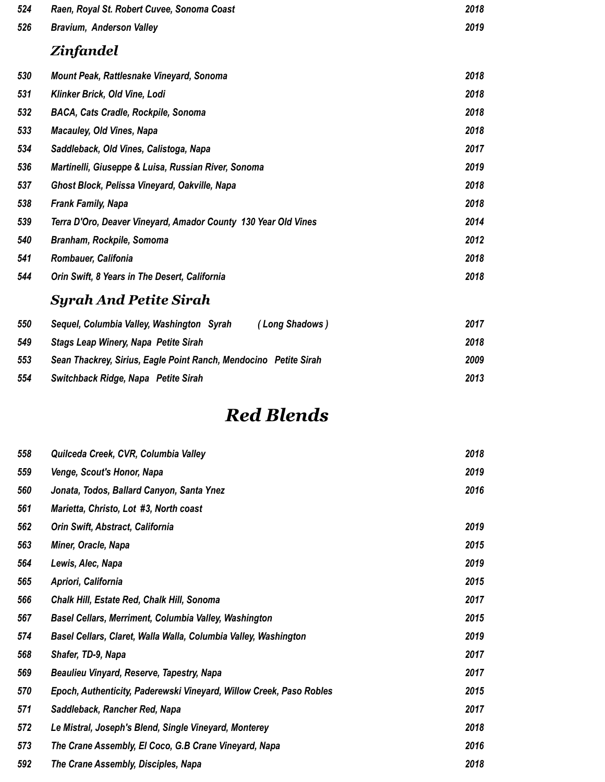| 524 | Raen, Royal St. Robert Cuvee, Sonoma Coast                     | 2018 |
|-----|----------------------------------------------------------------|------|
| 526 | <b>Bravium, Anderson Valley</b>                                | 2019 |
|     | Zinfandel                                                      |      |
| 530 | Mount Peak, Rattlesnake Vineyard, Sonoma                       | 2018 |
| 531 | Klinker Brick, Old Vine, Lodi                                  | 2018 |
| 532 | <b>BACA, Cats Cradle, Rockpile, Sonoma</b>                     | 2018 |
| 533 | <b>Macauley, Old Vines, Napa</b>                               | 2018 |
| 534 | Saddleback, Old Vines, Calistoga, Napa                         | 2017 |
| 536 | Martinelli, Giuseppe & Luisa, Russian River, Sonoma            | 2019 |
| 537 | Ghost Block, Pelissa Vineyard, Oakville, Napa                  | 2018 |
| 538 | <b>Frank Family, Napa</b>                                      | 2018 |
| 539 | Terra D'Oro, Deaver Vineyard, Amador County 130 Year Old Vines | 2014 |
| 540 | Branham, Rockpile, Somoma                                      | 2012 |
| 541 | Rombauer, Califonia                                            | 2018 |
| 544 | Orin Swift, 8 Years in The Desert, California                  | 2018 |
|     | <b>Syrah And Petite Sirah</b>                                  |      |

#### *Sequel, Columbia Valley, Washington Syrah ( Long Shadows ) 2017 Stags Leap Winery, Napa Petite Sirah 2018 Sean Thackrey, Sirius, Eagle Point Ranch, Mendocino Petite Sirah 2009 Switchback Ridge, Napa Petite Sirah 2013*

### *Red Blends*

| 558 | Quilceda Creek, CVR, Columbia Valley                                | 2018 |
|-----|---------------------------------------------------------------------|------|
| 559 | Venge, Scout's Honor, Napa                                          | 2019 |
| 560 | Jonata, Todos, Ballard Canyon, Santa Ynez                           | 2016 |
| 561 | Marietta, Christo, Lot #3, North coast                              |      |
| 562 | Orin Swift, Abstract, California                                    | 2019 |
| 563 | Miner, Oracle, Napa                                                 | 2015 |
| 564 | Lewis, Alec, Napa                                                   | 2019 |
| 565 | Apriori, California                                                 | 2015 |
| 566 | Chalk Hill, Estate Red, Chalk Hill, Sonoma                          | 2017 |
| 567 | Basel Cellars, Merriment, Columbia Valley, Washington               | 2015 |
| 574 | Basel Cellars, Claret, Walla Walla, Columbia Valley, Washington     | 2019 |
| 568 | Shafer, TD-9, Napa                                                  | 2017 |
| 569 | Beaulieu Vinyard, Reserve, Tapestry, Napa                           | 2017 |
| 570 | Epoch, Authenticity, Paderewski Vineyard, Willow Creek, Paso Robles | 2015 |
| 571 | Saddleback, Rancher Red, Napa                                       | 2017 |
| 572 | Le Mistral, Joseph's Blend, Single Vineyard, Monterey               | 2018 |
| 573 | The Crane Assembly, El Coco, G.B Crane Vineyard, Napa               | 2016 |
| 592 | The Crane Assembly, Disciples, Napa                                 | 2018 |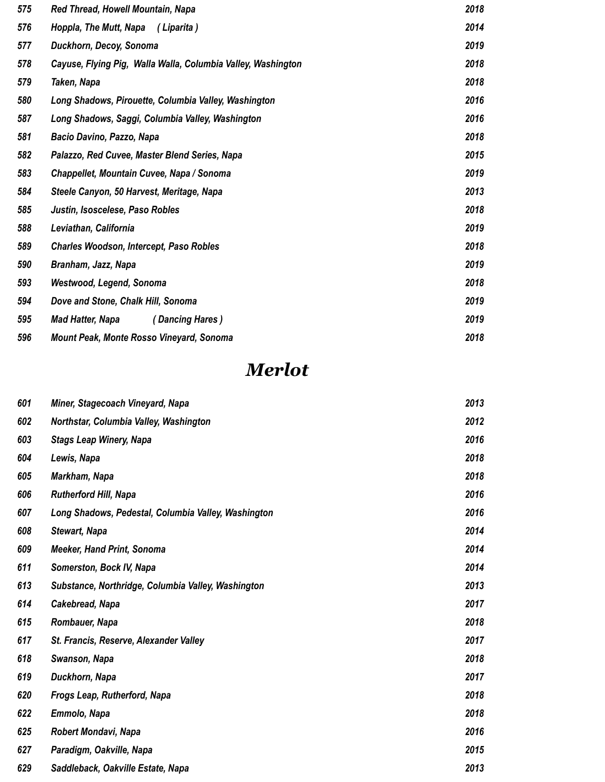| 575 | Red Thread, Howell Mountain, Napa                            | 2018 |
|-----|--------------------------------------------------------------|------|
| 576 | Hoppla, The Mutt, Napa<br>(Liparita)                         | 2014 |
| 577 | Duckhorn, Decoy, Sonoma                                      | 2019 |
| 578 | Cayuse, Flying Pig, Walla Walla, Columbia Valley, Washington | 2018 |
| 579 | Taken, Napa                                                  | 2018 |
| 580 | Long Shadows, Pirouette, Columbia Valley, Washington         | 2016 |
| 587 | Long Shadows, Saggi, Columbia Valley, Washington             | 2016 |
| 581 | Bacio Davino, Pazzo, Napa                                    | 2018 |
| 582 | Palazzo, Red Cuvee, Master Blend Series, Napa                | 2015 |
| 583 | Chappellet, Mountain Cuvee, Napa / Sonoma                    | 2019 |
| 584 | Steele Canyon, 50 Harvest, Meritage, Napa                    | 2013 |
| 585 | Justin, Isoscelese, Paso Robles                              | 2018 |
| 588 | Leviathan, California                                        | 2019 |
| 589 | <b>Charles Woodson, Intercept, Paso Robles</b>               | 2018 |
| 590 | Branham, Jazz, Napa                                          | 2019 |
| 593 | Westwood, Legend, Sonoma                                     | 2018 |
| 594 | Dove and Stone, Chalk Hill, Sonoma                           | 2019 |
| 595 | <b>Mad Hatter, Napa</b><br>(Dancing Hares)                   | 2019 |
| 596 | Mount Peak, Monte Rosso Vineyard, Sonoma                     | 2018 |

## *Merlot*

| 601 | Miner, Stagecoach Vineyard, Napa                    | 2013 |
|-----|-----------------------------------------------------|------|
| 602 | Northstar, Columbia Valley, Washington              | 2012 |
| 603 | <b>Stags Leap Winery, Napa</b>                      | 2016 |
| 604 | Lewis, Napa                                         | 2018 |
| 605 | Markham, Napa                                       | 2018 |
| 606 | <b>Rutherford Hill, Napa</b>                        | 2016 |
| 607 | Long Shadows, Pedestal, Columbia Valley, Washington | 2016 |
| 608 | <b>Stewart, Napa</b>                                | 2014 |
| 609 | <b>Meeker, Hand Print, Sonoma</b>                   | 2014 |
| 611 | Somerston, Bock IV, Napa                            | 2014 |
| 613 | Substance, Northridge, Columbia Valley, Washington  | 2013 |
| 614 | Cakebread, Napa                                     | 2017 |
| 615 | Rombauer, Napa                                      | 2018 |
| 617 | St. Francis, Reserve, Alexander Valley              | 2017 |
| 618 | Swanson, Napa                                       | 2018 |
| 619 | Duckhorn, Napa                                      | 2017 |
| 620 | Frogs Leap, Rutherford, Napa                        | 2018 |
| 622 | Emmolo, Napa                                        | 2018 |
| 625 | Robert Mondavi, Napa                                | 2016 |
| 627 | Paradigm, Oakville, Napa                            | 2015 |
| 629 | Saddleback, Oakville Estate, Napa                   | 2013 |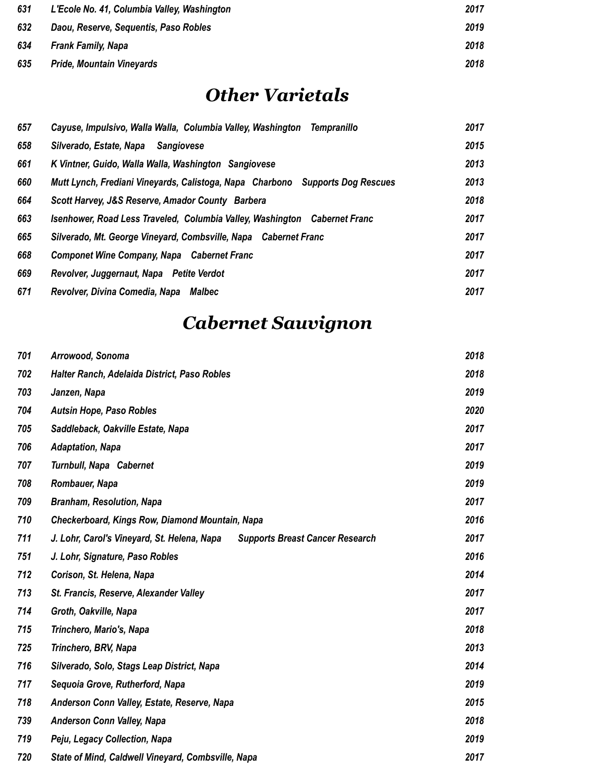| 631 | L'Ecole No. 41, Columbia Valley, Washington | 2017 |
|-----|---------------------------------------------|------|
| 632 | Daou, Reserve, Sequentis, Paso Robles       | 2019 |
| 634 | <b>Frank Family, Napa</b>                   | 2018 |
| 635 | <b>Pride, Mountain Vineyards</b>            | 2018 |

## *Other Varietals*

| 657 | Cayuse, Impulsivo, Walla Walla, Columbia Valley, Washington Tempranillo       | 2017 |
|-----|-------------------------------------------------------------------------------|------|
| 658 | Silverado, Estate, Napa<br>Sangiovese                                         | 2015 |
| 661 | K Vintner, Guido, Walla Walla, Washington Sangiovese                          | 2013 |
| 660 | Mutt Lynch, Frediani Vineyards, Calistoga, Napa Charbono Supports Dog Rescues | 2013 |
| 664 | Scott Harvey, J&S Reserve, Amador County Barbera                              | 2018 |
| 663 | Isenhower, Road Less Traveled, Columbia Valley, Washington Cabernet Franc     | 2017 |
| 665 | Silverado, Mt. George Vineyard, Combsville, Napa Cabernet Franc               | 2017 |
| 668 | Componet Wine Company, Napa Cabernet Franc                                    | 2017 |
| 669 | Revolver, Juggernaut, Napa Petite Verdot                                      | 2017 |
| 671 | Revolver, Divina Comedia, Napa Malbec                                         | 2017 |

# *Cabernet Sauvignon*

| 701 | Arrowood, Sonoma                                                                      | 2018 |
|-----|---------------------------------------------------------------------------------------|------|
| 702 | Halter Ranch, Adelaida District, Paso Robles                                          | 2018 |
| 703 | Janzen, Napa                                                                          | 2019 |
| 704 | <b>Autsin Hope, Paso Robles</b>                                                       | 2020 |
| 705 | Saddleback, Oakville Estate, Napa                                                     | 2017 |
| 706 | <b>Adaptation, Napa</b>                                                               | 2017 |
| 707 | Turnbull, Napa Cabernet                                                               | 2019 |
| 708 | Rombauer, Napa                                                                        | 2019 |
| 709 | <b>Branham, Resolution, Napa</b>                                                      | 2017 |
| 710 | Checkerboard, Kings Row, Diamond Mountain, Napa                                       | 2016 |
| 711 | J. Lohr, Carol's Vineyard, St. Helena, Napa<br><b>Supports Breast Cancer Research</b> | 2017 |
| 751 | J. Lohr, Signature, Paso Robles                                                       | 2016 |
| 712 | Corison, St. Helena, Napa                                                             | 2014 |
| 713 | St. Francis, Reserve, Alexander Valley                                                | 2017 |
| 714 | Groth, Oakville, Napa                                                                 | 2017 |
| 715 | Trinchero, Mario's, Napa                                                              | 2018 |
| 725 | Trinchero, BRV, Napa                                                                  | 2013 |
| 716 | Silverado, Solo, Stags Leap District, Napa                                            | 2014 |
| 717 | Sequoia Grove, Rutherford, Napa                                                       | 2019 |
| 718 | Anderson Conn Valley, Estate, Reserve, Napa                                           | 2015 |
| 739 | <b>Anderson Conn Valley, Napa</b>                                                     | 2018 |
| 719 | Peju, Legacy Collection, Napa                                                         | 2019 |
| 720 | State of Mind, Caldwell Vineyard, Combsville, Napa                                    | 2017 |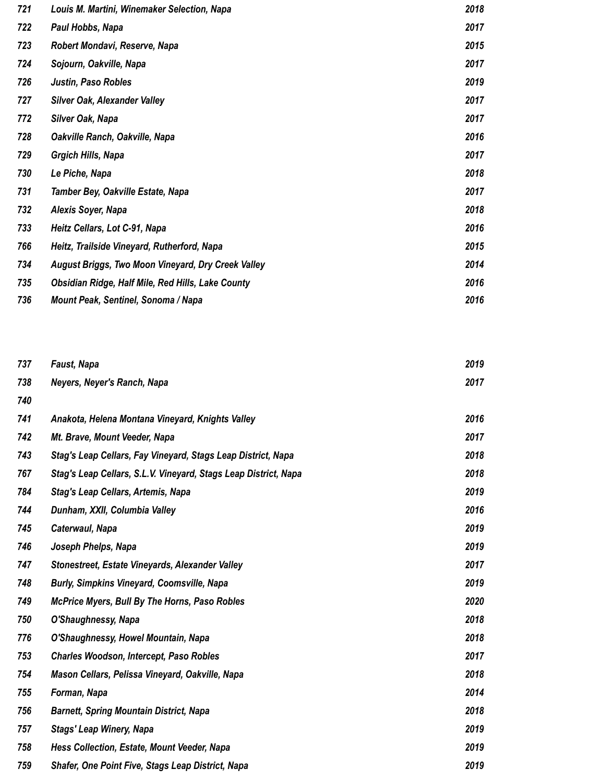| 721 | Louis M. Martini, Winemaker Selection, Napa               | 2018 |
|-----|-----------------------------------------------------------|------|
| 722 | Paul Hobbs, Napa                                          | 2017 |
| 723 | Robert Mondavi, Reserve, Napa                             | 2015 |
| 724 | Sojourn, Oakville, Napa                                   | 2017 |
| 726 | Justin, Paso Robles                                       | 2019 |
| 727 | <b>Silver Oak, Alexander Valley</b>                       | 2017 |
| 772 | <b>Silver Oak, Napa</b>                                   | 2017 |
| 728 | Oakville Ranch, Oakville, Napa                            | 2016 |
| 729 | <b>Grgich Hills, Napa</b>                                 | 2017 |
| 730 | Le Piche, Napa                                            | 2018 |
| 731 | Tamber Bey, Oakville Estate, Napa                         | 2017 |
| 732 | Alexis Soyer, Napa                                        | 2018 |
| 733 | Heitz Cellars, Lot C-91, Napa                             | 2016 |
| 766 | Heitz, Trailside Vineyard, Rutherford, Napa               | 2015 |
| 734 | <b>August Briggs, Two Moon Vineyard, Dry Creek Valley</b> | 2014 |
| 735 | Obsidian Ridge, Half Mile, Red Hills, Lake County         | 2016 |
| 736 | Mount Peak, Sentinel, Sonoma / Napa                       | 2016 |

| 737 | <b>Faust, Napa</b>                                              | 2019 |
|-----|-----------------------------------------------------------------|------|
| 738 | Neyers, Neyer's Ranch, Napa                                     | 2017 |
| 740 |                                                                 |      |
| 741 | Anakota, Helena Montana Vineyard, Knights Valley                | 2016 |
| 742 | Mt. Brave, Mount Veeder, Napa                                   | 2017 |
| 743 | Stag's Leap Cellars, Fay Vineyard, Stags Leap District, Napa    | 2018 |
| 767 | Stag's Leap Cellars, S.L.V. Vineyard, Stags Leap District, Napa | 2018 |
| 784 | Stag's Leap Cellars, Artemis, Napa                              | 2019 |
| 744 | Dunham, XXII, Columbia Valley                                   | 2016 |
| 745 | Caterwaul, Napa                                                 | 2019 |
| 746 | Joseph Phelps, Napa                                             | 2019 |
| 747 | Stonestreet, Estate Vineyards, Alexander Valley                 | 2017 |
| 748 | <b>Burly, Simpkins Vineyard, Coomsville, Napa</b>               | 2019 |
| 749 | <b>McPrice Myers, Bull By The Horns, Paso Robles</b>            | 2020 |
| 750 | O'Shaughnessy, Napa                                             | 2018 |
| 776 | O'Shaughnessy, Howel Mountain, Napa                             | 2018 |
| 753 | <b>Charles Woodson, Intercept, Paso Robles</b>                  | 2017 |
| 754 | Mason Cellars, Pelissa Vineyard, Oakville, Napa                 | 2018 |
| 755 | Forman, Napa                                                    | 2014 |
| 756 | <b>Barnett, Spring Mountain District, Napa</b>                  | 2018 |
| 757 | <b>Stags' Leap Winery, Napa</b>                                 | 2019 |
| 758 | Hess Collection, Estate, Mount Veeder, Napa                     | 2019 |
| 759 | Shafer, One Point Five, Stags Leap District, Napa               | 2019 |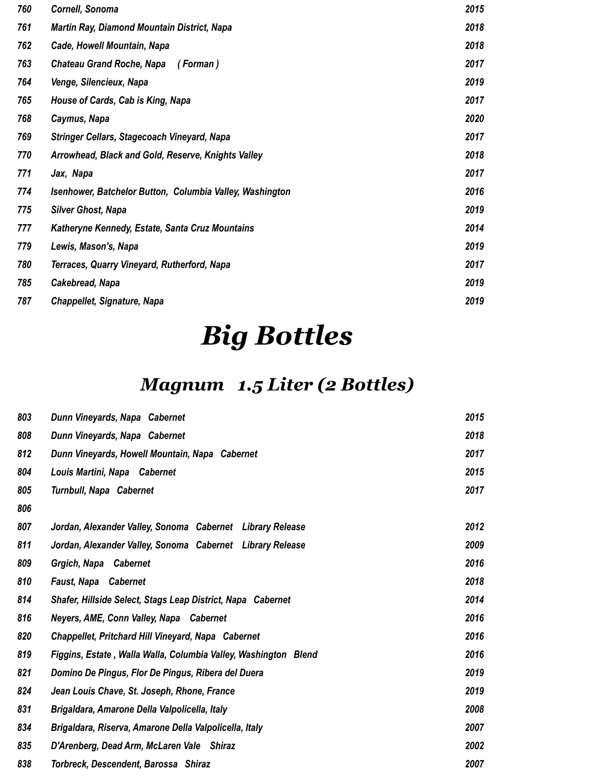| 760 | Cornell, Sonoma                                          | 2015 |
|-----|----------------------------------------------------------|------|
| 761 | <b>Martin Ray, Diamond Mountain District, Napa</b>       | 2018 |
| 762 | Cade, Howell Mountain, Napa                              | 2018 |
| 763 | <b>Chateau Grand Roche, Napa</b><br>(Forman)             | 2017 |
| 764 | Venge, Silencieux, Napa                                  | 2019 |
| 765 | House of Cards, Cab is King, Napa                        | 2017 |
| 768 | Caymus, Napa                                             | 2020 |
| 769 | Stringer Cellars, Stagecoach Vineyard, Napa              | 2017 |
| 770 | Arrowhead, Black and Gold, Reserve, Knights Valley       | 2018 |
| 771 | Jax, Napa                                                | 2017 |
| 774 | Isenhower, Batchelor Button, Columbia Valley, Washington | 2016 |
| 775 | <b>Silver Ghost, Napa</b>                                | 2019 |
| 777 | Katheryne Kennedy, Estate, Santa Cruz Mountains          | 2014 |
| 779 | Lewis, Mason's, Napa                                     | 2019 |
| 780 | Terraces, Quarry Vineyard, Rutherford, Napa              | 2017 |
| 785 | Cakebread, Napa                                          | 2019 |
| 787 | Chappellet, Signature, Napa                              | 2019 |

# *Big Bottles*

# *Magnum 1.5 Liter (2 Bottles)*

| 803 | Dunn Vineyards, Napa Cabernet                                   | 2015 |
|-----|-----------------------------------------------------------------|------|
| 808 | Dunn Vineyards, Napa Cabernet                                   | 2018 |
| 812 | Dunn Vineyards, Howell Mountain, Napa Cabernet                  | 2017 |
| 804 | Louis Martini, Napa Cabernet                                    | 2015 |
| 805 | Turnbull, Napa Cabernet                                         | 2017 |
| 806 |                                                                 |      |
| 807 | Jordan, Alexander Valley, Sonoma Cabernet Library Release       | 2012 |
| 811 | Jordan, Alexander Valley, Sonoma Cabernet Library Release       | 2009 |
| 809 | Grgich, Napa Cabernet                                           | 2016 |
| 810 | <b>Faust, Napa Cabernet</b>                                     | 2018 |
| 814 | Shafer, Hillside Select, Stags Leap District, Napa Cabernet     | 2014 |
| 816 | Neyers, AME, Conn Valley, Napa Cabernet                         | 2016 |
| 820 | Chappellet, Pritchard Hill Vineyard, Napa Cabernet              | 2016 |
| 819 | Figgins, Estate, Walla Walla, Columbia Valley, Washington Blend | 2016 |
| 821 | Domino De Pingus, Flor De Pingus, Ribera del Duera              | 2019 |
| 824 | Jean Louis Chave, St. Joseph, Rhone, France                     | 2019 |
| 831 | Brigaldara, Amarone Della Valpolicella, Italy                   | 2008 |
| 834 | Brigaldara, Riserva, Amarone Della Valpolicella, Italy          | 2007 |
| 835 | D'Arenberg, Dead Arm, McLaren Vale Shiraz                       | 2002 |
| 838 | Torbreck, Descendent, Barossa Shiraz                            | 2007 |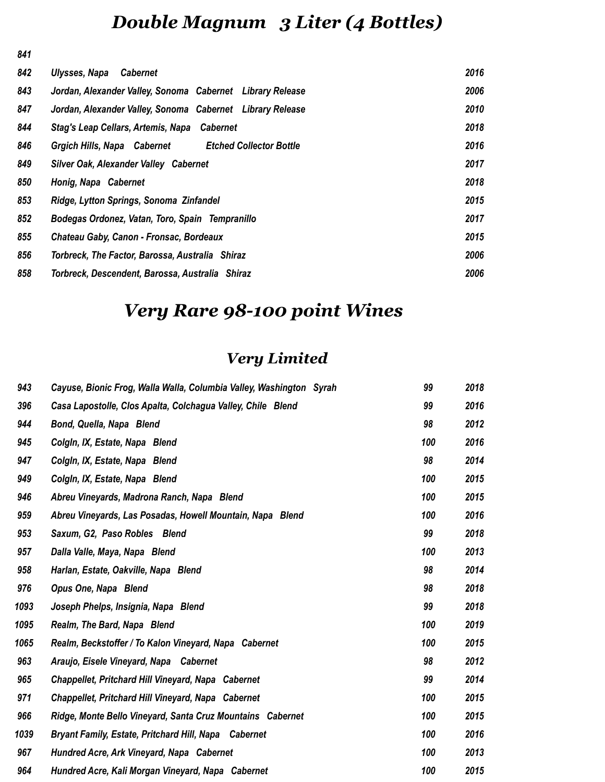# *Double Magnum 3 Liter (4 Bottles)*

| 842 | Ulysses, Napa<br><b>Cabernet</b>                              | 2016 |
|-----|---------------------------------------------------------------|------|
| 843 | Jordan, Alexander Valley, Sonoma Cabernet Library Release     | 2006 |
| 847 | Jordan, Alexander Valley, Sonoma Cabernet Library Release     | 2010 |
| 844 | Stag's Leap Cellars, Artemis, Napa Cabernet                   | 2018 |
| 846 | Grgich Hills, Napa Cabernet<br><b>Etched Collector Bottle</b> | 2016 |
| 849 | Silver Oak, Alexander Valley Cabernet                         | 2017 |
| 850 | Honig, Napa Cabernet                                          | 2018 |
| 853 | Ridge, Lytton Springs, Sonoma Zinfandel                       | 2015 |
| 852 | Bodegas Ordonez, Vatan, Toro, Spain Tempranillo               | 2017 |
| 855 | Chateau Gaby, Canon - Fronsac, Bordeaux                       | 2015 |
| 856 | Torbreck, The Factor, Barossa, Australia Shiraz               | 2006 |
| 858 | Torbreck, Descendent, Barossa, Australia Shiraz               | 2006 |

# *Very Rare 98-100 point Wines*

### *Very Limited*

| 943  | Cayuse, Bionic Frog, Walla Walla, Columbia Valley, Washington Syrah | 99  | 2018 |
|------|---------------------------------------------------------------------|-----|------|
| 396  | Casa Lapostolle, Clos Apalta, Colchagua Valley, Chile Blend         | 99  | 2016 |
| 944  | Bond, Quella, Napa Blend                                            | 98  | 2012 |
| 945  | Colgin, IX, Estate, Napa Blend                                      | 100 | 2016 |
| 947  | Colgin, IX, Estate, Napa Blend                                      | 98  | 2014 |
| 949  | Colgin, IX, Estate, Napa Blend                                      | 100 | 2015 |
| 946  | Abreu Vineyards, Madrona Ranch, Napa Blend                          | 100 | 2015 |
| 959  | Abreu Vineyards, Las Posadas, Howell Mountain, Napa Blend           | 100 | 2016 |
| 953  | Saxum, G2, Paso Robles Blend                                        | 99  | 2018 |
| 957  | Dalla Valle, Maya, Napa Blend                                       | 100 | 2013 |
| 958  | Harlan, Estate, Oakville, Napa Blend                                | 98  | 2014 |
| 976  | Opus One, Napa Blend                                                | 98  | 2018 |
| 1093 | Joseph Phelps, Insignia, Napa Blend                                 | 99  | 2018 |
| 1095 | Realm, The Bard, Napa Blend                                         | 100 | 2019 |
| 1065 | Realm, Beckstoffer / To Kalon Vineyard, Napa Cabernet               | 100 | 2015 |
| 963  | Araujo, Eisele Vineyard, Napa Cabernet                              | 98  | 2012 |
| 965  | Chappellet, Pritchard Hill Vineyard, Napa Cabernet                  | 99  | 2014 |
| 971  | Chappellet, Pritchard Hill Vineyard, Napa Cabernet                  | 100 | 2015 |
| 966  | Ridge, Monte Bello Vineyard, Santa Cruz Mountains Cabernet          | 100 | 2015 |
| 1039 | <b>Bryant Family, Estate, Pritchard Hill, Napa Cabernet</b>         | 100 | 2016 |
| 967  | Hundred Acre, Ark Vineyard, Napa Cabernet                           | 100 | 2013 |
| 964  | Hundred Acre, Kali Morgan Vineyard, Napa Cabernet                   | 100 | 2015 |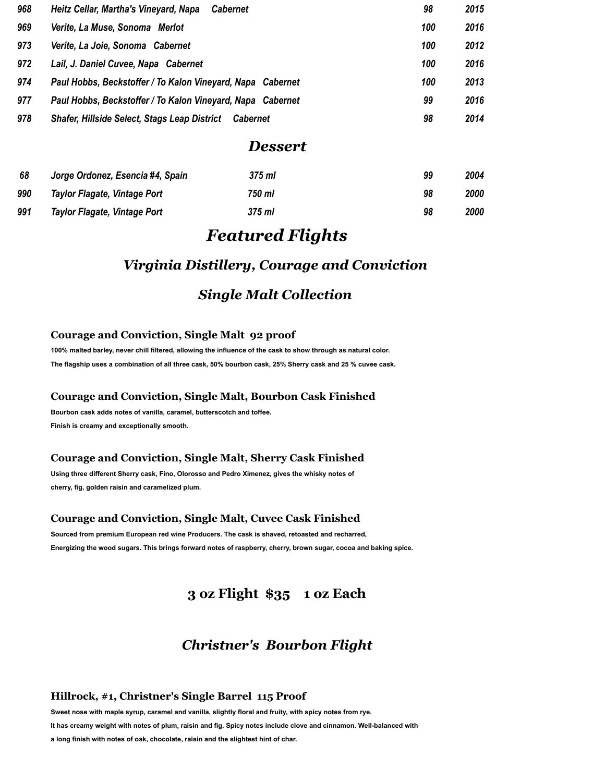| 968 | Heitz Cellar, Martha's Vineyard, Napa<br><b>Cabernet</b>               | 98  | 2015 |
|-----|------------------------------------------------------------------------|-----|------|
| 969 | Verite, La Muse, Sonoma Merlot                                         | 100 | 2016 |
| 973 | Verite, La Joie, Sonoma Cabernet                                       | 100 | 2012 |
| 972 | Lail, J. Daniel Cuvee, Napa Cabernet                                   | 100 | 2016 |
| 974 | Paul Hobbs, Beckstoffer / To Kalon Vineyard, Napa Cabernet             | 100 | 2013 |
| 977 | Paul Hobbs, Beckstoffer / To Kalon Vineyard, Napa Cabernet             | 99  | 2016 |
| 978 | <b>Shafer, Hillside Select, Stags Leap District</b><br><b>Cabernet</b> | 98  | 2014 |

#### *Dessert*

| 68  | Jorge Ordonez, Esencia #4, Spain | 375 ml | 99 | 2004 |
|-----|----------------------------------|--------|----|------|
| 990 | Taylor Flagate, Vintage Port     | 750 ml | 98 | 2000 |
| 991 | Taylor Flagate, Vintage Port     | 375 ml | 98 | 2000 |

#### *Featured Flights*

#### *Virginia Distillery, Courage and Conviction*

#### *Single Malt Collection*

#### **Courage and Conviction, Single Malt 92 proof**

**100% malted barley, never chill filtered, allowing the influence of the cask to show through as natural color. The flagship uses a combination of all three cask, 50% bourbon cask, 25% Sherry cask and 25 % cuvee cask.**

#### **Courage and Conviction, Single Malt, Bourbon Cask Finished**

**Bourbon cask adds notes of vanilla, caramel, butterscotch and toffee. Finish is creamy and exceptionally smooth.**

#### **Courage and Conviction, Single Malt, Sherry Cask Finished**

**Using three different Sherry cask, Fino, Olorosso and Pedro Ximenez, gives the whisky notes of cherry, fig, golden raisin and caramelized plum.**

#### **Courage and Conviction, Single Malt, Cuvee Cask Finished**

**Sourced from premium European red wine Producers. The cask is shaved, retoasted and recharred, Energizing the wood sugars. This brings forward notes of raspberry, cherry, brown sugar, cocoa and baking spice.**

#### **3 oz Flight \$35 1 oz Each**

#### *Christner's Bourbon Flight*

#### **Hillrock, #1, Christner's Single Barrel 115 Proof**

**Sweet nose with maple syrup, caramel and vanilla, slightly floral and fruity, with spicy notes from rye.**

**It has creamy weight with notes of plum, raisin and fig. Spicy notes include clove and cinnamon. Well-balanced with** 

#### **a long finish with notes of oak, chocolate, raisin and the slightest hint of char.**